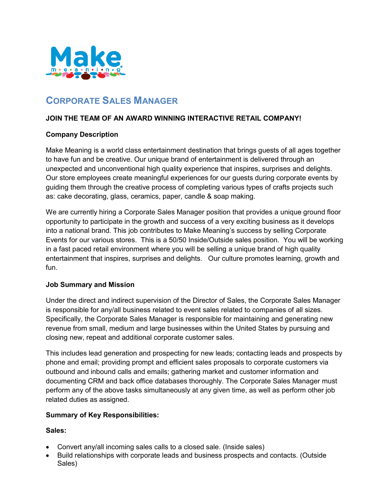

# **CORPORATE SALES MANAGER**

## **JOIN THE TEAM OF AN AWARD WINNING INTERACTIVE RETAIL COMPANY!**

## **Company Description**

Make Meaning is a world class entertainment destination that brings guests of all ages together to have fun and be creative. Our unique brand of entertainment is delivered through an unexpected and unconventional high quality experience that inspires, surprises and delights. Our store employees create meaningful experiences for our guests during corporate events by guiding them through the creative process of completing various types of crafts projects such as: cake decorating, glass, ceramics, paper, candle & soap making.

We are currently hiring a Corporate Sales Manager position that provides a unique ground floor opportunity to participate in the growth and success of a very exciting business as it develops into a national brand. This job contributes to Make Meaning's success by selling Corporate Events for our various stores. This is a 50/50 Inside/Outside sales position. You will be working in a fast paced retail environment where you will be selling a unique brand of high quality entertainment that inspires, surprises and delights. Our culture promotes learning, growth and fun.

#### **Job Summary and Mission**

Under the direct and indirect supervision of the Director of Sales, the Corporate Sales Manager is responsible for any/all business related to event sales related to companies of all sizes. Specifically, the Corporate Sales Manager is responsible for maintaining and generating new revenue from small, medium and large businesses within the United States by pursuing and closing new, repeat and additional corporate customer sales.

This includes lead generation and prospecting for new leads; contacting leads and prospects by phone and email; providing prompt and efficient sales proposals to corporate customers via outbound and inbound calls and emails; gathering market and customer information and documenting CRM and back office databases thoroughly. The Corporate Sales Manager must perform any of the above tasks simultaneously at any given time, as well as perform other job related duties as assigned.

#### **Summary of Key Responsibilities:**

#### **Sales:**

- Convert any/all incoming sales calls to a closed sale. (Inside sales)
- Build relationships with corporate leads and business prospects and contacts. (Outside Sales)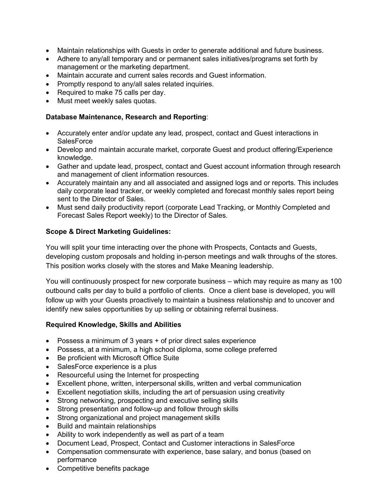- Maintain relationships with Guests in order to generate additional and future business.
- Adhere to any/all temporary and or permanent sales initiatives/programs set forth by management or the marketing department.
- Maintain accurate and current sales records and Guest information.
- Promptly respond to any/all sales related inquiries.
- Required to make 75 calls per day.
- Must meet weekly sales quotas.

#### **Database Maintenance, Research and Reporting**:

- Accurately enter and/or update any lead, prospect, contact and Guest interactions in **SalesForce**
- Develop and maintain accurate market, corporate Guest and product offering/Experience knowledge.
- Gather and update lead, prospect, contact and Guest account information through research and management of client information resources.
- Accurately maintain any and all associated and assigned logs and or reports. This includes daily corporate lead tracker, or weekly completed and forecast monthly sales report being sent to the Director of Sales.
- Must send daily productivity report (corporate Lead Tracking, or Monthly Completed and Forecast Sales Report weekly) to the Director of Sales.

## **Scope & Direct Marketing Guidelines:**

You will split your time interacting over the phone with Prospects, Contacts and Guests, developing custom proposals and holding in-person meetings and walk throughs of the stores. This position works closely with the stores and Make Meaning leadership.

You will continuously prospect for new corporate business – which may require as many as 100 outbound calls per day to build a portfolio of clients. Once a client base is developed, you will follow up with your Guests proactively to maintain a business relationship and to uncover and identify new sales opportunities by up selling or obtaining referral business.

#### **Required Knowledge, Skills and Abilities**

- Possess a minimum of 3 years + of prior direct sales experience
- Possess, at a minimum, a high school diploma, some college preferred
- Be proficient with Microsoft Office Suite
- SalesForce experience is a plus
- Resourceful using the Internet for prospecting
- Excellent phone, written, interpersonal skills, written and verbal communication
- Excellent negotiation skills, including the art of persuasion using creativity
- Strong networking, prospecting and executive selling skills
- Strong presentation and follow-up and follow through skills
- Strong organizational and project management skills
- Build and maintain relationships
- Ability to work independently as well as part of a team
- Document Lead, Prospect, Contact and Customer interactions in SalesForce
- Compensation commensurate with experience, base salary, and bonus (based on performance
- Competitive benefits package